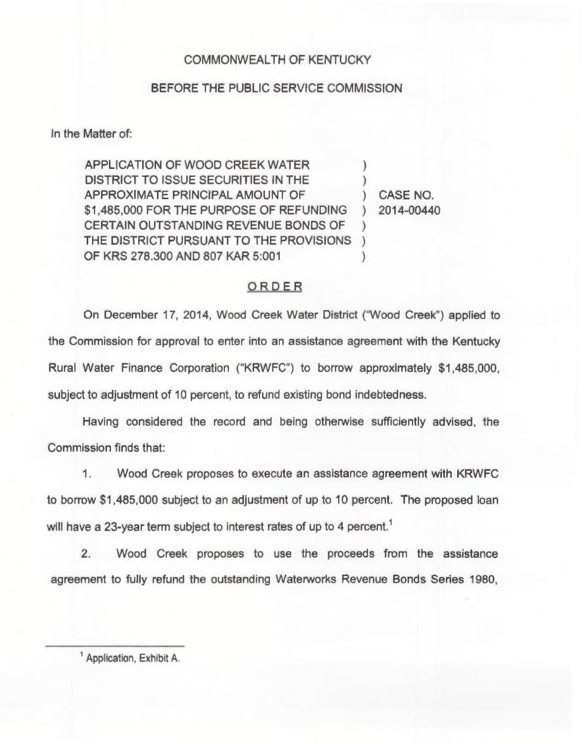## COMMONWEALTH OF KENTUCKY

## BEFORE THE PUBLIC SERVICE COMMISSION

In the Matter of:

APPLICATION OF WOOD CREEK WATER DISTRICT TO ISSUE SECURITIES IN THE APPROXIMATE PRINCIPAL AMOUNT OF \$1,485,000 FOR THE PURPOSE OF REFUNDING CERTAIN OUTSTANDING REVENUE BONDS OF THE DISTRICT PURSUANT TO THE PROVISIONS ) OF KRS 278.300 AND 807 KAR 5:001 ) ) ) )

) CASE NO. ) 2014-00440

## ORDER

On December 17, 2014, Wood Creek Water District ("Wood Creek") applied to the Commission for approval to enter into an assistance agreement with the Kentucky Rural Water Finance Corporation ("KRWFC") to borrow approximately \$1,485,000, subject to adjustment of 10 percent, to refund existing bond indebtedness.

Having considered the record and being otherwise sufficiently advised, the Commission finds that:

1. Wood Creek proposes to execute an assistance agreement with KRWFC to borrow \$1,485,000 subject to an adjustment of up to 10 percent. The proposed loan will have a 23-year term subject to interest rates of up to 4 percent.<sup>1</sup>

2. Wood Creek proposes to use the proceeds from the assistance agreement to fully refund the outstanding Waterworks Revenue Bonds Series 1980,

<sup>1</sup> Application, Exhibit A.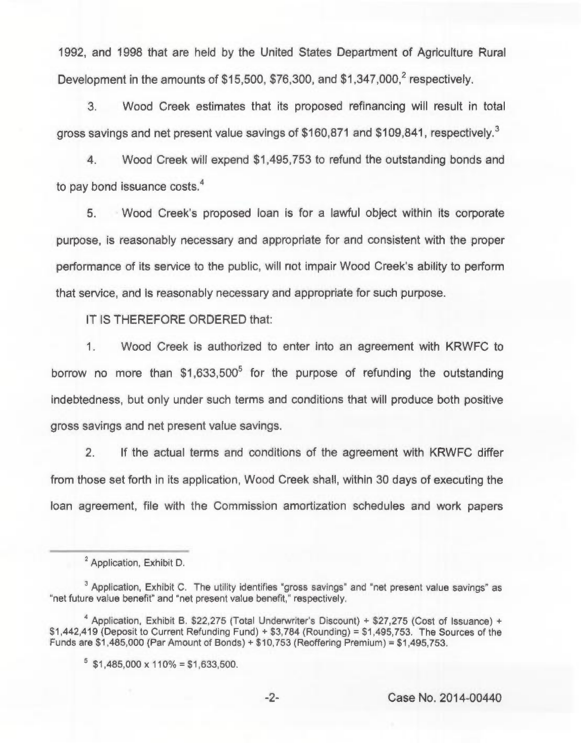1992, and 1998 that are held by the United States Department of Agriculture Rural Development in the amounts of \$15,500, \$76,300, and \$1,347,000,<sup>2</sup> respectively.

3. Wood Creek estimates that its proposed refinancing will result in total gross savings and net present value savings of \$160,871 and \$109,841, respectively.

4. Wood Creek will expend \$1,495,753 to refund the outstanding bonds and to pay bond issuance costs.<sup>4</sup>

5. Wood Creek's proposed loan is for a lawful object within its corporate purpose, is reasonably necessary and appropriate for and consistent with the proper performance of its service to the public, will not impair Wood Creek's ability to perform that service, and is reasonably necessary and appropriate for such purpose.

IT IS THEREFORE ORDERED that:

1. Wood Creek is authorized to enter into an agreement with KRWFC to borrow no more than  $$1.633,500^5$  for the purpose of refunding the outstanding indebtedness, but only under such terms and conditions that will produce both positive gross savings and net present value savings.

2. If the actual terms and conditions of the agreement with KRWFC differ from those set forth in its application, Wood Creek shall, within 30 days of executing the loan agreement, file with the Commission amortization schedules and work papers

<sup>&</sup>lt;sup>2</sup> Application, Exhibit D.

<sup>&</sup>lt;sup>3</sup> Application, Exhibit C. The utility identifies "gross savings" and "net present value savings" as "net future value benefit" and "net present value benefit," respectively.

<sup>&</sup>lt;sup>4</sup> Application, Exhibit B. \$22,275 (Total Underwriter's Discount) + \$27,275 (Cost of Issuance) +  $$1,442,419$  (Deposit to Current Refunding Fund)  $+ $3,784$  (Rounding) = \$1,495,753. The Sources of the Funds are  $$1,485,000$  (Par Amount of Bonds) +  $$10,753$  (Reoffering Premium) =  $$1,495,753$ .

 $5$  \$1,485,000 x 110% = \$1,633,500.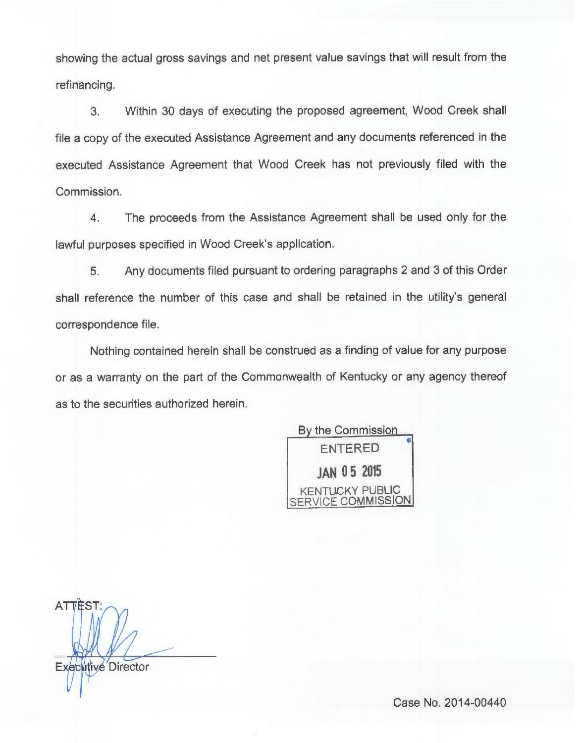showing the actual gross savings and net present value savings that will result from the refinancing.

3. Within 30 days of executing the proposed agreement, Wood Creek shall file a copy of the executed Assistance Agreement and any documents referenced in the executed Assistance Agreement that Wood Creek has not previously filed with the Commission.

4. The proceeds from the Assistance Agreement shall be used only for the lawful purposes specified in Wood Creek's application.

5. Any documents filed pursuant to ordering paragraphs 2 and 3 of this Order shall reference the number of this case and shall be retained in the utility's general correspondence file.

Nothing contained herein shall be construed as a finding of value for any purpose or as a warranty on the part of the Commonwealth of Kentucky or any agency thereof as to the securities authorized herein.

> By the Commission ENTERED JAN 05 <sup>2015</sup> KENTUCKY PUBLIC SERVICE COMMISSION

**ATTEST** Itive Directo

Case No. 2014-00440